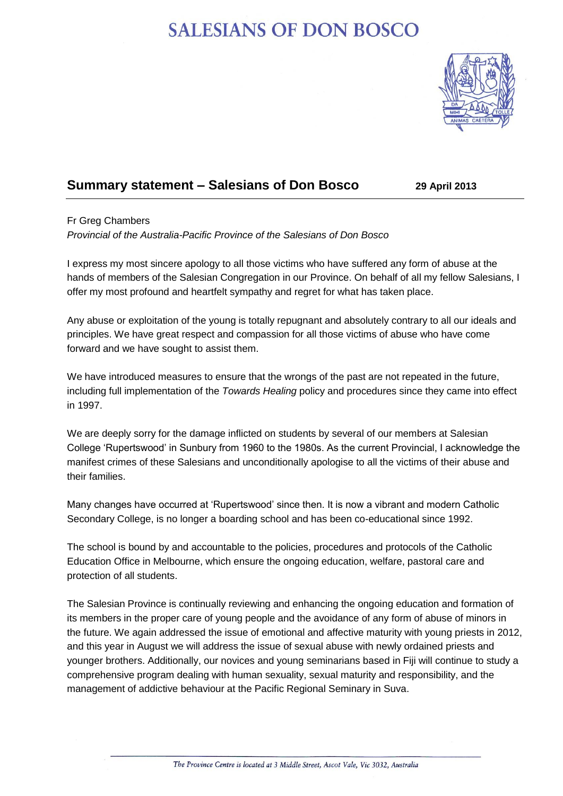## **SALESIANS OF DON BOSCO**



## **Summary statement – Salesians of Don Bosco 29 April 2013**

## Fr Greg Chambers

*Provincial of the Australia-Pacific Province of the Salesians of Don Bosco*

I express my most sincere apology to all those victims who have suffered any form of abuse at the hands of members of the Salesian Congregation in our Province. On behalf of all my fellow Salesians, I offer my most profound and heartfelt sympathy and regret for what has taken place.

Any abuse or exploitation of the young is totally repugnant and absolutely contrary to all our ideals and principles. We have great respect and compassion for all those victims of abuse who have come forward and we have sought to assist them.

We have introduced measures to ensure that the wrongs of the past are not repeated in the future, including full implementation of the *Towards Healing* policy and procedures since they came into effect in 1997.

We are deeply sorry for the damage inflicted on students by several of our members at Salesian College 'Rupertswood' in Sunbury from 1960 to the 1980s. As the current Provincial, I acknowledge the manifest crimes of these Salesians and unconditionally apologise to all the victims of their abuse and their families.

Many changes have occurred at 'Rupertswood' since then. It is now a vibrant and modern Catholic Secondary College, is no longer a boarding school and has been co-educational since 1992.

The school is bound by and accountable to the policies, procedures and protocols of the Catholic Education Office in Melbourne, which ensure the ongoing education, welfare, pastoral care and protection of all students.

The Salesian Province is continually reviewing and enhancing the ongoing education and formation of its members in the proper care of young people and the avoidance of any form of abuse of minors in the future. We again addressed the issue of emotional and affective maturity with young priests in 2012, and this year in August we will address the issue of sexual abuse with newly ordained priests and younger brothers. Additionally, our novices and young seminarians based in Fiji will continue to study a comprehensive program dealing with human sexuality, sexual maturity and responsibility, and the management of addictive behaviour at the Pacific Regional Seminary in Suva.